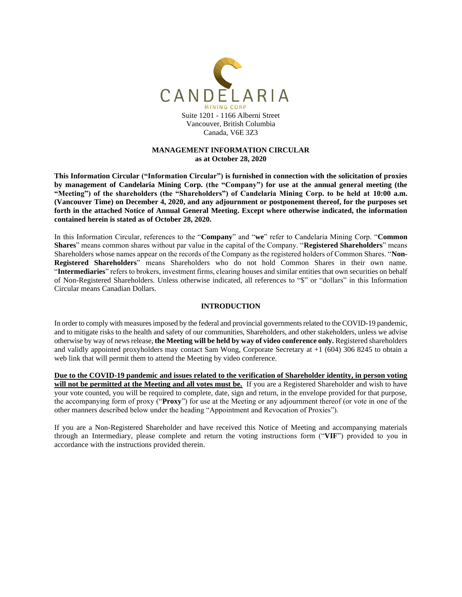

# **MANAGEMENT INFORMATION CIRCULAR as at October 28, 2020**

**This Information Circular ("Information Circular") is furnished in connection with the solicitation of proxies by management of Candelaria Mining Corp. (the "Company") for use at the annual general meeting (the "Meeting") of the shareholders (the "Shareholders") of Candelaria Mining Corp. to be held at 10:00 a.m. (Vancouver Time) on December 4, 2020, and any adjournment or postponement thereof, for the purposes set forth in the attached Notice of Annual General Meeting. Except where otherwise indicated, the information contained herein is stated as of October 28, 2020.**

In this Information Circular, references to the "**Company**" and "**we**" refer to Candelaria Mining Corp. "**Common Shares**" means common shares without par value in the capital of the Company. "**Registered Shareholders**" means Shareholders whose names appear on the records of the Company as the registered holders of Common Shares. "**Non-Registered Shareholders**" means Shareholders who do not hold Common Shares in their own name. "**Intermediaries**" refers to brokers, investment firms, clearing houses and similar entities that own securities on behalf of Non-Registered Shareholders. Unless otherwise indicated, all references to "\$" or "dollars" in this Information Circular means Canadian Dollars.

# **INTRODUCTION**

In order to comply with measures imposed by the federal and provincial governments related to the COVID-19 pandemic, and to mitigate risks to the health and safety of our communities, Shareholders, and other stakeholders, unless we advise otherwise by way of news release, **the Meeting will be held by way of video conference only.** Registered shareholders and validly appointed proxyholders may contact Sam Wong, Corporate Secretary at +1 (604) 306 8245 to obtain a web link that will permit them to attend the Meeting by video conference.

**Due to the COVID-19 pandemic and issues related to the verification of Shareholder identity, in person voting will not be permitted at the Meeting and all votes must be.** If you are a Registered Shareholder and wish to have your vote counted, you will be required to complete, date, sign and return, in the envelope provided for that purpose, the accompanying form of proxy ("**Proxy**") for use at the Meeting or any adjournment thereof (or vote in one of the other manners described below under the heading "Appointment and Revocation of Proxies").

If you are a Non-Registered Shareholder and have received this Notice of Meeting and accompanying materials through an Intermediary, please complete and return the voting instructions form ("**VIF**") provided to you in accordance with the instructions provided therein.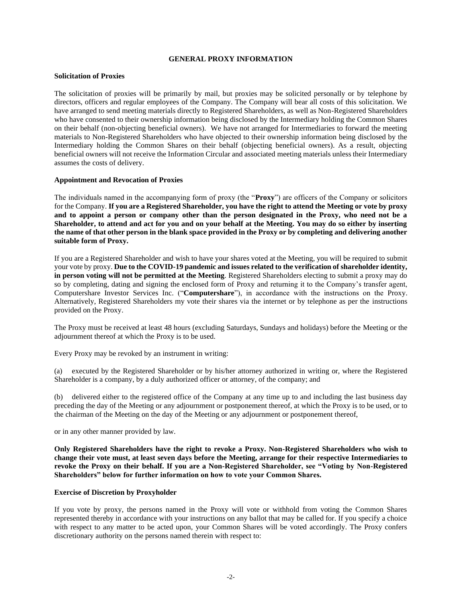### **GENERAL PROXY INFORMATION**

#### **Solicitation of Proxies**

The solicitation of proxies will be primarily by mail, but proxies may be solicited personally or by telephone by directors, officers and regular employees of the Company. The Company will bear all costs of this solicitation. We have arranged to send meeting materials directly to Registered Shareholders, as well as Non-Registered Shareholders who have consented to their ownership information being disclosed by the Intermediary holding the Common Shares on their behalf (non-objecting beneficial owners). We have not arranged for Intermediaries to forward the meeting materials to Non-Registered Shareholders who have objected to their ownership information being disclosed by the Intermediary holding the Common Shares on their behalf (objecting beneficial owners). As a result, objecting beneficial owners will not receive the Information Circular and associated meeting materials unless their Intermediary assumes the costs of delivery.

#### **Appointment and Revocation of Proxies**

The individuals named in the accompanying form of proxy (the "**Proxy**") are officers of the Company or solicitors for the Company. **If you are a Registered Shareholder, you have the right to attend the Meeting or vote by proxy and to appoint a person or company other than the person designated in the Proxy, who need not be a Shareholder, to attend and act for you and on your behalf at the Meeting. You may do so either by inserting the name of that other person in the blank space provided in the Proxy or by completing and delivering another suitable form of Proxy.**

If you are a Registered Shareholder and wish to have your shares voted at the Meeting, you will be required to submit your vote by proxy. **Due to the COVID-19 pandemic and issues related to the verification of shareholder identity, in person voting will not be permitted at the Meeting**. Registered Shareholders electing to submit a proxy may do so by completing, dating and signing the enclosed form of Proxy and returning it to the Company's transfer agent, Computershare Investor Services Inc. ("**Computershare**"), in accordance with the instructions on the Proxy. Alternatively, Registered Shareholders my vote their shares via the internet or by telephone as per the instructions provided on the Proxy.

The Proxy must be received at least 48 hours (excluding Saturdays, Sundays and holidays) before the Meeting or the adjournment thereof at which the Proxy is to be used.

Every Proxy may be revoked by an instrument in writing:

(a) executed by the Registered Shareholder or by his/her attorney authorized in writing or, where the Registered Shareholder is a company, by a duly authorized officer or attorney, of the company; and

(b) delivered either to the registered office of the Company at any time up to and including the last business day preceding the day of the Meeting or any adjournment or postponement thereof, at which the Proxy is to be used, or to the chairman of the Meeting on the day of the Meeting or any adjournment or postponement thereof,

or in any other manner provided by law.

**Only Registered Shareholders have the right to revoke a Proxy. Non-Registered Shareholders who wish to change their vote must, at least seven days before the Meeting, arrange for their respective Intermediaries to revoke the Proxy on their behalf. If you are a Non-Registered Shareholder, see "Voting by Non-Registered Shareholders" below for further information on how to vote your Common Shares.**

#### **Exercise of Discretion by Proxyholder**

If you vote by proxy, the persons named in the Proxy will vote or withhold from voting the Common Shares represented thereby in accordance with your instructions on any ballot that may be called for. If you specify a choice with respect to any matter to be acted upon, your Common Shares will be voted accordingly. The Proxy confers discretionary authority on the persons named therein with respect to: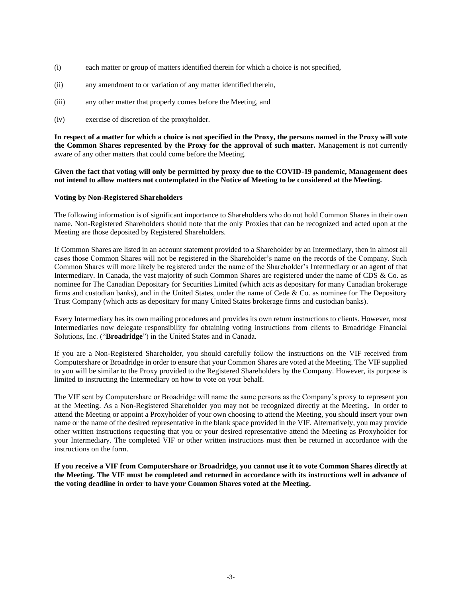- (i) each matter or group of matters identified therein for which a choice is not specified,
- (ii) any amendment to or variation of any matter identified therein,
- (iii) any other matter that properly comes before the Meeting, and
- (iv) exercise of discretion of the proxyholder.

**In respect of a matter for which a choice is not specified in the Proxy, the persons named in the Proxy will vote the Common Shares represented by the Proxy for the approval of such matter.** Management is not currently aware of any other matters that could come before the Meeting.

### **Given the fact that voting will only be permitted by proxy due to the COVID-19 pandemic, Management does not intend to allow matters not contemplated in the Notice of Meeting to be considered at the Meeting.**

### **Voting by Non-Registered Shareholders**

The following information is of significant importance to Shareholders who do not hold Common Shares in their own name. Non-Registered Shareholders should note that the only Proxies that can be recognized and acted upon at the Meeting are those deposited by Registered Shareholders.

If Common Shares are listed in an account statement provided to a Shareholder by an Intermediary, then in almost all cases those Common Shares will not be registered in the Shareholder's name on the records of the Company. Such Common Shares will more likely be registered under the name of the Shareholder's Intermediary or an agent of that Intermediary. In Canada, the vast majority of such Common Shares are registered under the name of CDS & Co. as nominee for The Canadian Depositary for Securities Limited (which acts as depositary for many Canadian brokerage firms and custodian banks), and in the United States, under the name of Cede & Co. as nominee for The Depository Trust Company (which acts as depositary for many United States brokerage firms and custodian banks).

Every Intermediary has its own mailing procedures and provides its own return instructions to clients. However, most Intermediaries now delegate responsibility for obtaining voting instructions from clients to Broadridge Financial Solutions, Inc. ("**Broadridge**") in the United States and in Canada.

If you are a Non-Registered Shareholder, you should carefully follow the instructions on the VIF received from Computershare or Broadridge in order to ensure that your Common Shares are voted at the Meeting. The VIF supplied to you will be similar to the Proxy provided to the Registered Shareholders by the Company. However, its purpose is limited to instructing the Intermediary on how to vote on your behalf.

The VIF sent by Computershare or Broadridge will name the same persons as the Company's proxy to represent you at the Meeting. As a Non-Registered Shareholder you may not be recognized directly at the Meeting**.** In order to attend the Meeting or appoint a Proxyholder of your own choosing to attend the Meeting, you should insert your own name or the name of the desired representative in the blank space provided in the VIF. Alternatively, you may provide other written instructions requesting that you or your desired representative attend the Meeting as Proxyholder for your Intermediary. The completed VIF or other written instructions must then be returned in accordance with the instructions on the form.

**If you receive a VIF from Computershare or Broadridge, you cannot use it to vote Common Shares directly at the Meeting. The VIF must be completed and returned in accordance with its instructions well in advance of the voting deadline in order to have your Common Shares voted at the Meeting.**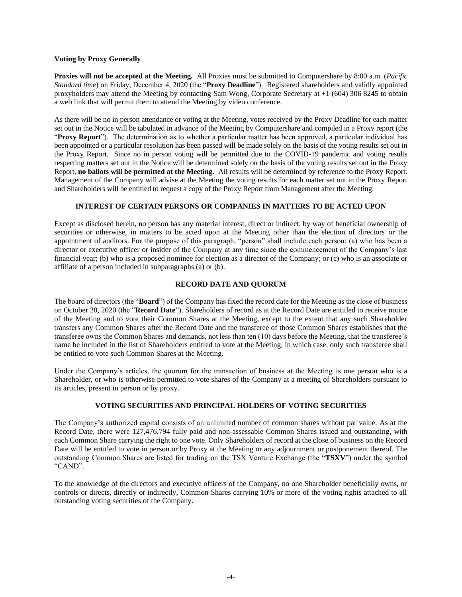### **Voting by Proxy Generally**

**Proxies will not be accepted at the Meeting.** All Proxies must be submitted to Computershare by 8:00 a.m. (*Pacific Standard time*) on Friday, December 4, 2020 (the "**Proxy Deadline**"). Registered shareholders and validly appointed proxyholders may attend the Meeting by contacting Sam Wong, Corporate Secretary at +1 (604) 306 8245 to obtain a web link that will permit them to attend the Meeting by video conference.

As there will be no in person attendance or voting at the Meeting, votes received by the Proxy Deadline for each matter set out in the Notice will be tabulated in advance of the Meeting by Computershare and compiled in a Proxy report (the "**Proxy Report**"). The determination as to whether a particular matter has been approved, a particular individual has been appointed or a particular resolution has been passed will be made solely on the basis of the voting results set out in the Proxy Report. Since no in person voting will be permitted due to the COVID-19 pandemic and voting results respecting matters set out in the Notice will be determined solely on the basis of the voting results set out in the Proxy Report, **no ballots will be permitted at the Meeting**. All results will be determined by reference to the Proxy Report. Management of the Company will advise at the Meeting the voting results for each matter set out in the Proxy Report and Shareholders will be entitled to request a copy of the Proxy Report from Management after the Meeting.

# **INTEREST OF CERTAIN PERSONS OR COMPANIES IN MATTERS TO BE ACTED UPON**

Except as disclosed herein, no person has any material interest, direct or indirect, by way of beneficial ownership of securities or otherwise, in matters to be acted upon at the Meeting other than the election of directors or the appointment of auditors. For the purpose of this paragraph, "person" shall include each person: (a) who has been a director or executive officer or insider of the Company at any time since the commencement of the Company's last financial year; (b) who is a proposed nominee for election as a director of the Company; or (c) who is an associate or affiliate of a person included in subparagraphs (a) or (b).

# **RECORD DATE AND QUORUM**

The board of directors (the "**Board**") of the Company has fixed the record date for the Meeting as the close of business on October 28, 2020 (the "**Record Date**"). Shareholders of record as at the Record Date are entitled to receive notice of the Meeting and to vote their Common Shares at the Meeting, except to the extent that any such Shareholder transfers any Common Shares after the Record Date and the transferee of those Common Shares establishes that the transferee owns the Common Shares and demands, not less than ten (10) days before the Meeting, that the transferee's name be included in the list of Shareholders entitled to vote at the Meeting, in which case, only such transferee shall be entitled to vote such Common Shares at the Meeting.

Under the Company's articles, the quorum for the transaction of business at the Meeting is one person who is a Shareholder, or who is otherwise permitted to vote shares of the Company at a meeting of Shareholders pursuant to its articles, present in person or by proxy.

# **VOTING SECURITIES AND PRINCIPAL HOLDERS OF VOTING SECURITIES**

The Company's authorized capital consists of an unlimited number of common shares without par value. As at the Record Date, there were 127,476,794 fully paid and non-assessable Common Shares issued and outstanding, with each Common Share carrying the right to one vote. Only Shareholders of record at the close of business on the Record Date will be entitled to vote in person or by Proxy at the Meeting or any adjournment or postponement thereof. The outstanding Common Shares are listed for trading on the TSX Venture Exchange (the "**TSXV**") under the symbol "CAND".

To the knowledge of the directors and executive officers of the Company, no one Shareholder beneficially owns, or controls or directs, directly or indirectly, Common Shares carrying 10% or more of the voting rights attached to all outstanding voting securities of the Company.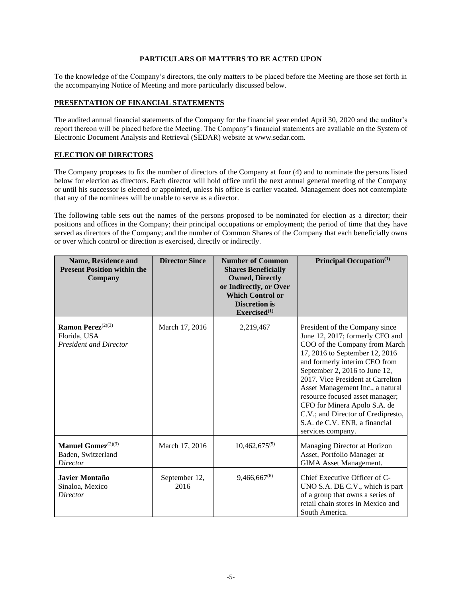# **PARTICULARS OF MATTERS TO BE ACTED UPON**

To the knowledge of the Company's directors, the only matters to be placed before the Meeting are those set forth in the accompanying Notice of Meeting and more particularly discussed below.

### **PRESENTATION OF FINANCIAL STATEMENTS**

The audited annual financial statements of the Company for the financial year ended April 30, 2020 and the auditor's report thereon will be placed before the Meeting. The Company's financial statements are available on the System of Electronic Document Analysis and Retrieval (SEDAR) website at www.sedar.com.

# **ELECTION OF DIRECTORS**

The Company proposes to fix the number of directors of the Company at four (4) and to nominate the persons listed below for election as directors. Each director will hold office until the next annual general meeting of the Company or until his successor is elected or appointed, unless his office is earlier vacated. Management does not contemplate that any of the nominees will be unable to serve as a director.

The following table sets out the names of the persons proposed to be nominated for election as a director; their positions and offices in the Company; their principal occupations or employment; the period of time that they have served as directors of the Company; and the number of Common Shares of the Company that each beneficially owns or over which control or direction is exercised, directly or indirectly.

| <b>Name, Residence and</b><br><b>Present Position within the</b><br>Company    | <b>Director Since</b> | <b>Number of Common</b><br><b>Shares Beneficially</b><br><b>Owned, Directly</b><br>or Indirectly, or Over<br><b>Which Control or</b><br><b>Discretion is</b><br>Exercised <sup>(1)</sup> | Principal Occupation $(1)$                                                                                                                                                                                                                                                                                                                                                                                                                     |
|--------------------------------------------------------------------------------|-----------------------|------------------------------------------------------------------------------------------------------------------------------------------------------------------------------------------|------------------------------------------------------------------------------------------------------------------------------------------------------------------------------------------------------------------------------------------------------------------------------------------------------------------------------------------------------------------------------------------------------------------------------------------------|
| Ramon Perez <sup>(2)(3)</sup><br>Florida, USA<br><b>President and Director</b> | March 17, 2016        | 2,219,467                                                                                                                                                                                | President of the Company since<br>June 12, 2017; formerly CFO and<br>COO of the Company from March<br>17, 2016 to September 12, 2016<br>and formerly interim CEO from<br>September 2, 2016 to June 12,<br>2017. Vice President at Carrelton<br>Asset Management Inc., a natural<br>resource focused asset manager;<br>CFO for Minera Apolo S.A. de<br>C.V.; and Director of Credipresto,<br>S.A. de C.V. ENR, a financial<br>services company. |
| Manuel Gomez <sup>(2)(3)</sup><br>Baden, Switzerland<br>Director               | March 17, 2016        | $10,462,675^{(5)}$                                                                                                                                                                       | Managing Director at Horizon<br>Asset, Portfolio Manager at<br><b>GIMA Asset Management.</b>                                                                                                                                                                                                                                                                                                                                                   |
| Javier Montaño<br>Sinaloa, Mexico<br>Director                                  | September 12,<br>2016 | $9,466,667^{(6)}$                                                                                                                                                                        | Chief Executive Officer of C-<br>UNO S.A. DE C.V., which is part<br>of a group that owns a series of<br>retail chain stores in Mexico and<br>South America.                                                                                                                                                                                                                                                                                    |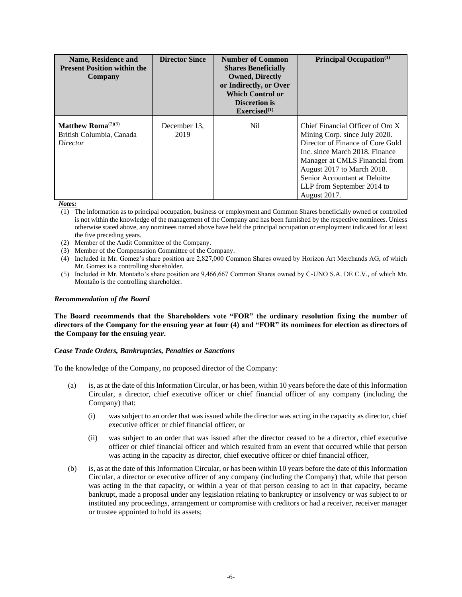| Name, Residence and<br><b>Present Position within the</b><br>Company                | <b>Director Since</b> | <b>Number of Common</b><br><b>Shares Beneficially</b><br><b>Owned, Directly</b><br>or Indirectly, or Over<br><b>Which Control or</b><br><b>Discretion is</b><br>Exercised <sup>(1)</sup> | <b>Principal Occupation</b> <sup>(1)</sup>                                                                                                                                                                                                                                             |
|-------------------------------------------------------------------------------------|-----------------------|------------------------------------------------------------------------------------------------------------------------------------------------------------------------------------------|----------------------------------------------------------------------------------------------------------------------------------------------------------------------------------------------------------------------------------------------------------------------------------------|
| Matthew Roma <sup><math>(2)(3)</math></sup><br>British Columbia, Canada<br>Director | December 13.<br>2019  | Nil.                                                                                                                                                                                     | Chief Financial Officer of Oro X<br>Mining Corp. since July 2020.<br>Director of Finance of Core Gold<br>Inc. since March 2018. Finance<br>Manager at CMLS Financial from<br>August 2017 to March 2018.<br>Senior Accountant at Deloitte<br>LLP from September 2014 to<br>August 2017. |

*Notes:*

- (1) The information as to principal occupation, business or employment and Common Shares beneficially owned or controlled is not within the knowledge of the management of the Company and has been furnished by the respective nominees. Unless otherwise stated above, any nominees named above have held the principal occupation or employment indicated for at least the five preceding years.
- (2) Member of the Audit Committee of the Company.
- (3) Member of the Compensation Committee of the Company.
- (4) Included in Mr. Gomez's share position are 2,827,000 Common Shares owned by Horizon Art Merchands AG, of which Mr. Gomez is a controlling shareholder.
- (5) Included in Mr. Montaño's share position are 9,466,667 Common Shares owned by C-UNO S.A. DE C.V., of which Mr. Montaño is the controlling shareholder.

### *Recommendation of the Board*

**The Board recommends that the Shareholders vote "FOR" the ordinary resolution fixing the number of directors of the Company for the ensuing year at four (4) and "FOR" its nominees for election as directors of the Company for the ensuing year.**

### *Cease Trade Orders, Bankruptcies, Penalties or Sanctions*

To the knowledge of the Company, no proposed director of the Company:

- (a) is, as at the date of this Information Circular, or has been, within 10 years before the date of this Information Circular, a director, chief executive officer or chief financial officer of any company (including the Company) that:
	- (i) was subject to an order that was issued while the director was acting in the capacity as director, chief executive officer or chief financial officer, or
	- (ii) was subject to an order that was issued after the director ceased to be a director, chief executive officer or chief financial officer and which resulted from an event that occurred while that person was acting in the capacity as director, chief executive officer or chief financial officer,
- (b) is, as at the date of this Information Circular, or has been within 10 years before the date of this Information Circular, a director or executive officer of any company (including the Company) that, while that person was acting in the that capacity, or within a year of that person ceasing to act in that capacity, became bankrupt, made a proposal under any legislation relating to bankruptcy or insolvency or was subject to or instituted any proceedings, arrangement or compromise with creditors or had a receiver, receiver manager or trustee appointed to hold its assets;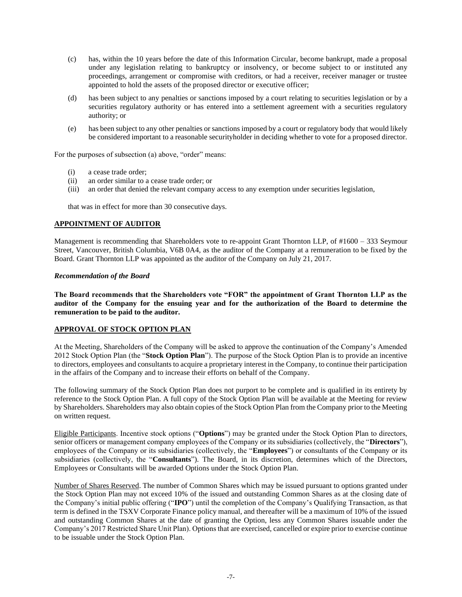- (c) has, within the 10 years before the date of this Information Circular, become bankrupt, made a proposal under any legislation relating to bankruptcy or insolvency, or become subject to or instituted any proceedings, arrangement or compromise with creditors, or had a receiver, receiver manager or trustee appointed to hold the assets of the proposed director or executive officer;
- (d) has been subject to any penalties or sanctions imposed by a court relating to securities legislation or by a securities regulatory authority or has entered into a settlement agreement with a securities regulatory authority; or
- (e) has been subject to any other penalties or sanctions imposed by a court or regulatory body that would likely be considered important to a reasonable securityholder in deciding whether to vote for a proposed director.

For the purposes of subsection (a) above, "order" means:

- (i) a cease trade order;
- (ii) an order similar to a cease trade order; or
- (iii) an order that denied the relevant company access to any exemption under securities legislation,

that was in effect for more than 30 consecutive days.

# **APPOINTMENT OF AUDITOR**

Management is recommending that Shareholders vote to re-appoint Grant Thornton LLP, of #1600 – 333 Seymour Street, Vancouver, British Columbia, V6B 0A4, as the auditor of the Company at a remuneration to be fixed by the Board. Grant Thornton LLP was appointed as the auditor of the Company on July 21, 2017.

### *Recommendation of the Board*

**The Board recommends that the Shareholders vote "FOR" the appointment of Grant Thornton LLP as the auditor of the Company for the ensuing year and for the authorization of the Board to determine the remuneration to be paid to the auditor.**

# **APPROVAL OF STOCK OPTION PLAN**

At the Meeting, Shareholders of the Company will be asked to approve the continuation of the Company's Amended 2012 Stock Option Plan (the "**Stock Option Plan**"). The purpose of the Stock Option Plan is to provide an incentive to directors, employees and consultants to acquire a proprietary interest in the Company, to continue their participation in the affairs of the Company and to increase their efforts on behalf of the Company.

The following summary of the Stock Option Plan does not purport to be complete and is qualified in its entirety by reference to the Stock Option Plan. A full copy of the Stock Option Plan will be available at the Meeting for review by Shareholders. Shareholders may also obtain copies of the Stock Option Plan from the Company prior to the Meeting on written request.

Eligible Participants. Incentive stock options ("**Options**") may be granted under the Stock Option Plan to directors, senior officers or management company employees of the Company or its subsidiaries (collectively, the "**Directors**"), employees of the Company or its subsidiaries (collectively, the "**Employees**") or consultants of the Company or its subsidiaries (collectively, the "**Consultants**"). The Board, in its discretion, determines which of the Directors, Employees or Consultants will be awarded Options under the Stock Option Plan.

Number of Shares Reserved. The number of Common Shares which may be issued pursuant to options granted under the Stock Option Plan may not exceed 10% of the issued and outstanding Common Shares as at the closing date of the Company's initial public offering ("**IPO**") until the completion of the Company's Qualifying Transaction, as that term is defined in the TSXV Corporate Finance policy manual, and thereafter will be a maximum of 10% of the issued and outstanding Common Shares at the date of granting the Option, less any Common Shares issuable under the Company's 2017 Restricted Share Unit Plan). Options that are exercised, cancelled or expire prior to exercise continue to be issuable under the Stock Option Plan.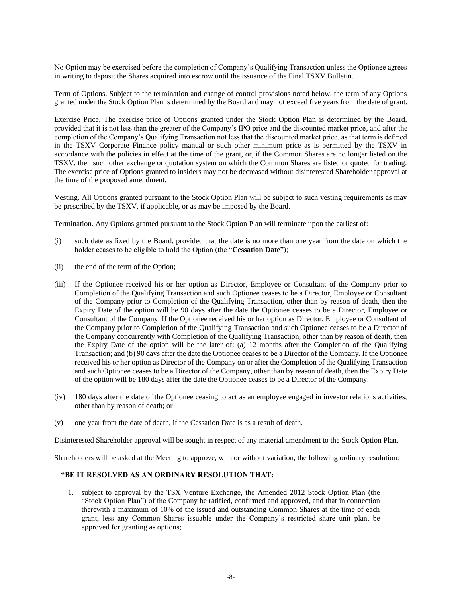No Option may be exercised before the completion of Company's Qualifying Transaction unless the Optionee agrees in writing to deposit the Shares acquired into escrow until the issuance of the Final TSXV Bulletin.

Term of Options. Subject to the termination and change of control provisions noted below, the term of any Options granted under the Stock Option Plan is determined by the Board and may not exceed five years from the date of grant.

Exercise Price. The exercise price of Options granted under the Stock Option Plan is determined by the Board, provided that it is not less than the greater of the Company's IPO price and the discounted market price, and after the completion of the Company's Qualifying Transaction not less that the discounted market price, as that term is defined in the TSXV Corporate Finance policy manual or such other minimum price as is permitted by the TSXV in accordance with the policies in effect at the time of the grant, or, if the Common Shares are no longer listed on the TSXV, then such other exchange or quotation system on which the Common Shares are listed or quoted for trading. The exercise price of Options granted to insiders may not be decreased without disinterested Shareholder approval at the time of the proposed amendment.

Vesting. All Options granted pursuant to the Stock Option Plan will be subject to such vesting requirements as may be prescribed by the TSXV, if applicable, or as may be imposed by the Board.

Termination. Any Options granted pursuant to the Stock Option Plan will terminate upon the earliest of:

- (i) such date as fixed by the Board, provided that the date is no more than one year from the date on which the holder ceases to be eligible to hold the Option (the "**Cessation Date**");
- (ii) the end of the term of the Option;
- (iii) If the Optionee received his or her option as Director, Employee or Consultant of the Company prior to Completion of the Qualifying Transaction and such Optionee ceases to be a Director, Employee or Consultant of the Company prior to Completion of the Qualifying Transaction, other than by reason of death, then the Expiry Date of the option will be 90 days after the date the Optionee ceases to be a Director, Employee or Consultant of the Company. If the Optionee received his or her option as Director, Employee or Consultant of the Company prior to Completion of the Qualifying Transaction and such Optionee ceases to be a Director of the Company concurrently with Completion of the Qualifying Transaction, other than by reason of death, then the Expiry Date of the option will be the later of: (a) 12 months after the Completion of the Qualifying Transaction; and (b) 90 days after the date the Optionee ceases to be a Director of the Company. If the Optionee received his or her option as Director of the Company on or after the Completion of the Qualifying Transaction and such Optionee ceases to be a Director of the Company, other than by reason of death, then the Expiry Date of the option will be 180 days after the date the Optionee ceases to be a Director of the Company.
- (iv) 180 days after the date of the Optionee ceasing to act as an employee engaged in investor relations activities, other than by reason of death; or
- (v) one year from the date of death, if the Cessation Date is as a result of death.

Disinterested Shareholder approval will be sought in respect of any material amendment to the Stock Option Plan.

Shareholders will be asked at the Meeting to approve, with or without variation, the following ordinary resolution:

# **"BE IT RESOLVED AS AN ORDINARY RESOLUTION THAT:**

1. subject to approval by the TSX Venture Exchange, the Amended 2012 Stock Option Plan (the "Stock Option Plan") of the Company be ratified, confirmed and approved, and that in connection therewith a maximum of 10% of the issued and outstanding Common Shares at the time of each grant, less any Common Shares issuable under the Company's restricted share unit plan, be approved for granting as options;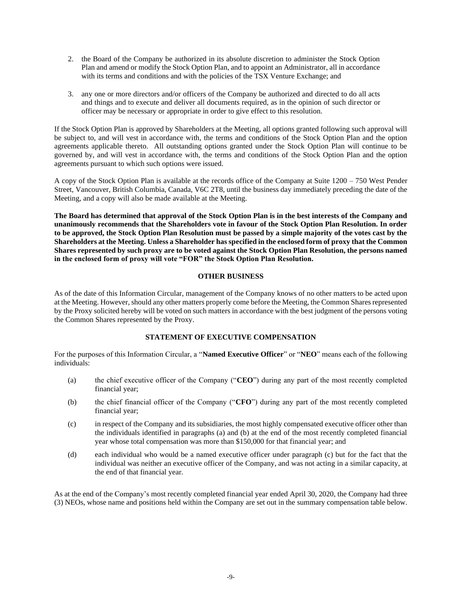- 2. the Board of the Company be authorized in its absolute discretion to administer the Stock Option Plan and amend or modify the Stock Option Plan, and to appoint an Administrator, all in accordance with its terms and conditions and with the policies of the TSX Venture Exchange; and
- 3. any one or more directors and/or officers of the Company be authorized and directed to do all acts and things and to execute and deliver all documents required, as in the opinion of such director or officer may be necessary or appropriate in order to give effect to this resolution.

If the Stock Option Plan is approved by Shareholders at the Meeting, all options granted following such approval will be subject to, and will vest in accordance with, the terms and conditions of the Stock Option Plan and the option agreements applicable thereto. All outstanding options granted under the Stock Option Plan will continue to be governed by, and will vest in accordance with, the terms and conditions of the Stock Option Plan and the option agreements pursuant to which such options were issued.

A copy of the Stock Option Plan is available at the records office of the Company at Suite 1200 – 750 West Pender Street, Vancouver, British Columbia, Canada, V6C 2T8, until the business day immediately preceding the date of the Meeting, and a copy will also be made available at the Meeting.

**The Board has determined that approval of the Stock Option Plan is in the best interests of the Company and unanimously recommends that the Shareholders vote in favour of the Stock Option Plan Resolution. In order to be approved, the Stock Option Plan Resolution must be passed by a simple majority of the votes cast by the Shareholders at the Meeting. Unless a Shareholder has specified in the enclosed form of proxy that the Common Shares represented by such proxy are to be voted against the Stock Option Plan Resolution, the persons named in the enclosed form of proxy will vote "FOR" the Stock Option Plan Resolution.**

# **OTHER BUSINESS**

As of the date of this Information Circular, management of the Company knows of no other matters to be acted upon at the Meeting. However, should any other matters properly come before the Meeting, the Common Shares represented by the Proxy solicited hereby will be voted on such matters in accordance with the best judgment of the persons voting the Common Shares represented by the Proxy.

# **STATEMENT OF EXECUTIVE COMPENSATION**

For the purposes of this Information Circular, a "**Named Executive Officer**" or "**NEO**" means each of the following individuals:

- (a) the chief executive officer of the Company ("**CEO**") during any part of the most recently completed financial year;
- (b) the chief financial officer of the Company ("**CFO**") during any part of the most recently completed financial year;
- (c) in respect of the Company and its subsidiaries, the most highly compensated executive officer other than the individuals identified in paragraphs (a) and (b) at the end of the most recently completed financial year whose total compensation was more than \$150,000 for that financial year; and
- (d) each individual who would be a named executive officer under paragraph (c) but for the fact that the individual was neither an executive officer of the Company, and was not acting in a similar capacity, at the end of that financial year.

As at the end of the Company's most recently completed financial year ended April 30, 2020, the Company had three (3) NEOs, whose name and positions held within the Company are set out in the summary compensation table below.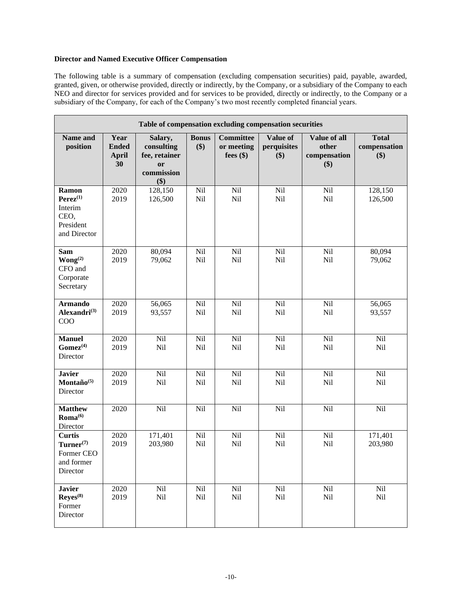# **Director and Named Executive Officer Compensation**

The following table is a summary of compensation (excluding compensation securities) paid, payable, awarded, granted, given, or otherwise provided, directly or indirectly, by the Company, or a subsidiary of the Company to each NEO and director for services provided and for services to be provided, directly or indirectly, to the Company or a subsidiary of the Company, for each of the Company's two most recently completed financial years.

|                                                                         | Table of compensation excluding compensation securities |                                                                              |                     |                                               |                                |                                                     |                                     |  |  |  |
|-------------------------------------------------------------------------|---------------------------------------------------------|------------------------------------------------------------------------------|---------------------|-----------------------------------------------|--------------------------------|-----------------------------------------------------|-------------------------------------|--|--|--|
| Name and<br>position                                                    | Year<br><b>Ended</b><br><b>April</b><br>30              | Salary,<br>consulting<br>fee, retainer<br><sub>or</sub><br>commission<br>\$) | <b>Bonus</b><br>\$) | <b>Committee</b><br>or meeting<br>fees $(\$)$ | Value of<br>perquisites<br>\$) | <b>Value of all</b><br>other<br>compensation<br>\$) | <b>Total</b><br>compensation<br>\$) |  |  |  |
| Ramon<br>$Perez^{(1)}$<br>Interim<br>CEO,<br>President<br>and Director  | 2020<br>2019                                            | 128,150<br>126,500                                                           | Nil<br>Nil          | Nil<br>Nil                                    | Nil<br>Nil                     | Nil<br>Nil                                          | 128,150<br>126,500                  |  |  |  |
| <b>Sam</b><br>Wong <sup>(2)</sup><br>CFO and<br>Corporate<br>Secretary  | 2020<br>2019                                            | 80,094<br>79,062                                                             | Nil<br>Nil          | Nil<br>Nil                                    | Nil<br>Nil                     | Nil<br>Nil                                          | 80,094<br>79,062                    |  |  |  |
| <b>Armando</b><br>Alexandri $^{(3)}$<br>COO                             | 2020<br>2019                                            | 56,065<br>93,557                                                             | Nil<br>Nil          | Nil<br>Nil                                    | Nil<br>Nil                     | Nil<br>Nil                                          | 56,065<br>93,557                    |  |  |  |
| <b>Manuel</b><br>$Gomez^{(4)}$<br>Director                              | 2020<br>2019                                            | Nil<br>Nil                                                                   | Nil<br>Nil          | Nil<br>Nil                                    | Nil<br>Nil                     | Nil<br>Nil                                          | Nil<br>Nil                          |  |  |  |
| <b>Javier</b><br>Montaño $(5)$<br>Director                              | 2020<br>2019                                            | Nil<br>Nil                                                                   | Nil<br>Nil          | Nil<br>Nil                                    | Nil<br>Nil                     | Nil<br>Nil                                          | Nil<br>Nil                          |  |  |  |
| <b>Matthew</b><br>$Roma^{(6)}$<br>Director                              | 2020                                                    | Nil                                                                          | Nil                 | Nil                                           | Nil                            | Nil                                                 | Nil                                 |  |  |  |
| <b>Curtis</b><br>$Turner^{(7)}$<br>Former CEO<br>and former<br>Director | 2020<br>2019                                            | 171,401<br>203,980                                                           | Nil<br>Nil          | Nil<br>Nil                                    | Nil<br>Nil                     | Nil<br>Nil                                          | 171,401<br>203,980                  |  |  |  |
| <b>Javier</b><br>$\text{Reyes}^{(8)}$<br>Former<br>Director             | 2020<br>2019                                            | Nil<br>Nil                                                                   | Nil<br>Nil          | Nil<br>Nil                                    | Nil<br>Nil                     | Nil<br>Nil                                          | Nil<br>Nil                          |  |  |  |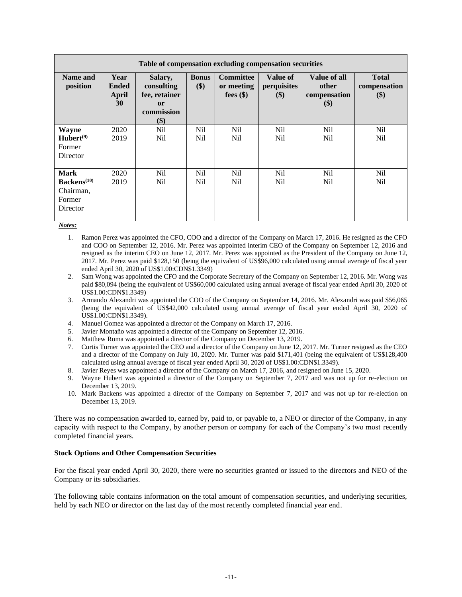| Table of compensation excluding compensation securities                   |                                     |                                                                              |                        |                                               |                                |                                              |                                     |
|---------------------------------------------------------------------------|-------------------------------------|------------------------------------------------------------------------------|------------------------|-----------------------------------------------|--------------------------------|----------------------------------------------|-------------------------------------|
| Name and<br>position                                                      | Year<br><b>Ended</b><br>April<br>30 | Salary,<br>consulting<br>fee, retainer<br><sub>or</sub><br>commission<br>\$) | <b>Bonus</b><br>\$)    | <b>Committee</b><br>or meeting<br>fees $(\$)$ | Value of<br>perquisites<br>\$) | Value of all<br>other<br>compensation<br>\$) | <b>Total</b><br>compensation<br>\$) |
| <b>Wayne</b><br>$Hubert^{(9)}$<br>Former<br>Director                      | 2020<br>2019                        | Nil<br>Nil                                                                   | N <sub>il</sub><br>Nil | N <sub>il</sub><br>Nil                        | N <sub>il</sub><br>Nil         | N <sub>il</sub><br>Nil                       | N <sub>il</sub><br>Nil              |
| <b>Mark</b><br>Backens <sup>(10)</sup><br>Chairman,<br>Former<br>Director | 2020<br>2019                        | Nil.<br>Nil                                                                  | Nil<br>N <sub>il</sub> | Nil<br>Nil                                    | Nil<br>N <sub>il</sub>         | Nil<br>N <sub>il</sub>                       | Nil<br>N <sub>il</sub>              |

*Notes:*

- 1. Ramon Perez was appointed the CFO, COO and a director of the Company on March 17, 2016. He resigned as the CFO and COO on September 12, 2016. Mr. Perez was appointed interim CEO of the Company on September 12, 2016 and resigned as the interim CEO on June 12, 2017. Mr. Perez was appointed as the President of the Company on June 12, 2017. Mr. Perez was paid \$128,150 (being the equivalent of US\$96,000 calculated using annual average of fiscal year ended April 30, 2020 of US\$1.00:CDN\$1.3349)
- 2. Sam Wong was appointed the CFO and the Corporate Secretary of the Company on September 12, 2016. Mr. Wong was paid \$80,094 (being the equivalent of US\$60,000 calculated using annual average of fiscal year ended April 30, 2020 of US\$1.00:CDN\$1.3349)
- 3. Armando Alexandri was appointed the COO of the Company on September 14, 2016. Mr. Alexandri was paid \$56,065 (being the equivalent of US\$42,000 calculated using annual average of fiscal year ended April 30, 2020 of US\$1.00:CDN\$1.3349).
- 4. Manuel Gomez was appointed a director of the Company on March 17, 2016.
- 5. Javier Montaño was appointed a director of the Company on September 12, 2016.
- 6. Matthew Roma was appointed a director of the Company on December 13, 2019.
- 7. Curtis Turner was appointed the CEO and a director of the Company on June 12, 2017. Mr. Turner resigned as the CEO and a director of the Company on July 10, 2020. Mr. Turner was paid \$171,401 (being the equivalent of US\$128,400 calculated using annual average of fiscal year ended April 30, 2020 of US\$1.00:CDN\$1.3349).
- 8. Javier Reyes was appointed a director of the Company on March 17, 2016, and resigned on June 15, 2020.
- 9. Wayne Hubert was appointed a director of the Company on September 7, 2017 and was not up for re-election on December 13, 2019.
- 10. Mark Backens was appointed a director of the Company on September 7, 2017 and was not up for re-election on December 13, 2019.

There was no compensation awarded to, earned by, paid to, or payable to, a NEO or director of the Company, in any capacity with respect to the Company, by another person or company for each of the Company's two most recently completed financial years.

### **Stock Options and Other Compensation Securities**

For the fiscal year ended April 30, 2020, there were no securities granted or issued to the directors and NEO of the Company or its subsidiaries.

The following table contains information on the total amount of compensation securities, and underlying securities, held by each NEO or director on the last day of the most recently completed financial year end.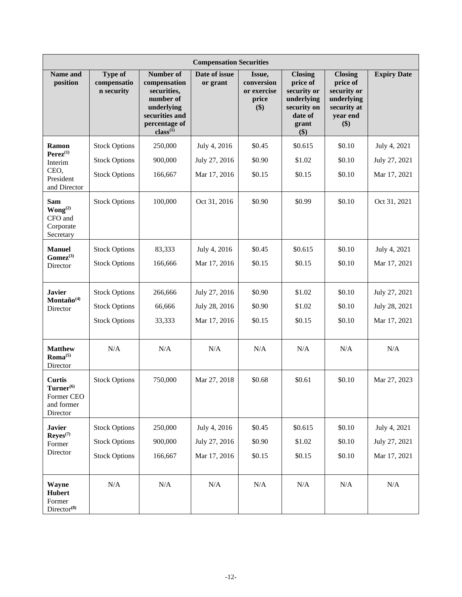|                                                                         | <b>Compensation Securities</b>                                       |                                                                                                                                |                                                |                                                     |                                                                                                   |                                                                                              |                                                |  |
|-------------------------------------------------------------------------|----------------------------------------------------------------------|--------------------------------------------------------------------------------------------------------------------------------|------------------------------------------------|-----------------------------------------------------|---------------------------------------------------------------------------------------------------|----------------------------------------------------------------------------------------------|------------------------------------------------|--|
| <b>Name and</b><br>position                                             | <b>Type of</b><br>compensatio<br>n security                          | <b>Number of</b><br>compensation<br>securities,<br>number of<br>underlying<br>securities and<br>percentage of<br>$class^{(1)}$ | Date of issue<br>or grant                      | Issue,<br>conversion<br>or exercise<br>price<br>\$) | <b>Closing</b><br>price of<br>security or<br>underlying<br>security on<br>date of<br>grant<br>\$) | <b>Closing</b><br>price of<br>security or<br>underlying<br>security at<br>year end<br>$(\$)$ | <b>Expiry Date</b>                             |  |
| Ramon<br>$Perez^{(1)}$<br>Interim<br>CEO,<br>President<br>and Director  | <b>Stock Options</b><br><b>Stock Options</b><br><b>Stock Options</b> | 250,000<br>900,000<br>166,667                                                                                                  | July 4, 2016<br>July 27, 2016<br>Mar 17, 2016  | \$0.45<br>\$0.90<br>\$0.15                          | \$0.615<br>\$1.02<br>\$0.15                                                                       | \$0.10<br>\$0.10<br>\$0.10                                                                   | July 4, 2021<br>July 27, 2021<br>Mar 17, 2021  |  |
| <b>Sam</b><br>Wong <sup>(2)</sup><br>CFO and<br>Corporate<br>Secretary  | <b>Stock Options</b>                                                 | 100,000                                                                                                                        | Oct 31, 2016                                   | \$0.90                                              | \$0.99                                                                                            | \$0.10                                                                                       | Oct 31, 2021                                   |  |
| <b>Manuel</b><br>$G \text{omez}^{(3)}$<br>Director                      | <b>Stock Options</b><br><b>Stock Options</b>                         | 83,333<br>166,666                                                                                                              | July 4, 2016<br>Mar 17, 2016                   | \$0.45<br>\$0.15                                    | \$0.615<br>\$0.15                                                                                 | \$0.10<br>\$0.10                                                                             | July 4, 2021<br>Mar 17, 2021                   |  |
| <b>Javier</b><br>Montaño <sup>(4)</sup><br>Director                     | <b>Stock Options</b><br><b>Stock Options</b><br><b>Stock Options</b> | 266,666<br>66,666<br>33,333                                                                                                    | July 27, 2016<br>July 28, 2016<br>Mar 17, 2016 | \$0.90<br>\$0.90<br>\$0.15                          | \$1.02<br>\$1.02<br>\$0.15                                                                        | \$0.10<br>\$0.10<br>\$0.10                                                                   | July 27, 2021<br>July 28, 2021<br>Mar 17, 2021 |  |
| <b>Matthew</b><br>$Roma^{(5)}$<br>Director                              | N/A                                                                  | N/A                                                                                                                            | N/A                                            | N/A                                                 | N/A                                                                                               | N/A                                                                                          | N/A                                            |  |
| <b>Curtis</b><br>$Turner^{(6)}$<br>Former CEO<br>and former<br>Director | <b>Stock Options</b>                                                 | 750,000                                                                                                                        | Mar 27, 2018                                   | \$0.68                                              | \$0.61                                                                                            | \$0.10                                                                                       | Mar 27, 2023                                   |  |
| <b>Javier</b><br>$\mathbf{Reyes}^{(7)}$<br>Former<br>Director           | <b>Stock Options</b><br><b>Stock Options</b><br><b>Stock Options</b> | 250,000<br>900,000<br>166,667                                                                                                  | July 4, 2016<br>July 27, 2016<br>Mar 17, 2016  | \$0.45<br>\$0.90<br>\$0.15                          | \$0.615<br>\$1.02<br>\$0.15                                                                       | \$0.10<br>\$0.10<br>\$0.10                                                                   | July 4, 2021<br>July 27, 2021<br>Mar 17, 2021  |  |
| Wayne<br>Hubert<br>Former<br>$Directorymathbb{C}^{8}$                   | $\rm N/A$                                                            | $\rm N/A$                                                                                                                      | $\rm N/A$                                      | N/A                                                 | N/A                                                                                               | $\rm N/A$                                                                                    | $\rm N/A$                                      |  |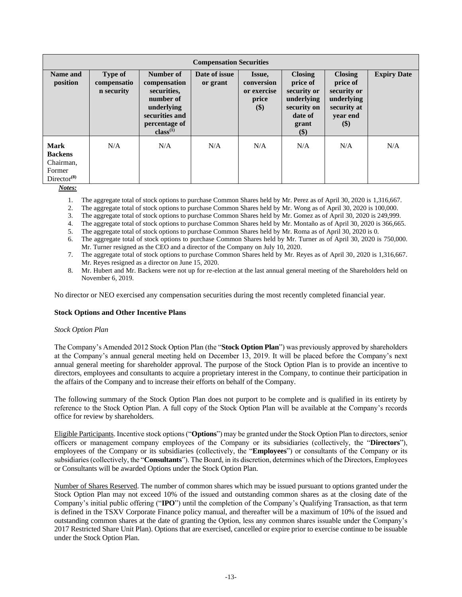|                                                                                    | <b>Compensation Securities</b>              |                                                                                                                                |                           |                                                     |                                                                                                   |                                                                                              |                    |  |
|------------------------------------------------------------------------------------|---------------------------------------------|--------------------------------------------------------------------------------------------------------------------------------|---------------------------|-----------------------------------------------------|---------------------------------------------------------------------------------------------------|----------------------------------------------------------------------------------------------|--------------------|--|
| Name and<br>position                                                               | <b>Type of</b><br>compensatio<br>n security | <b>Number of</b><br>compensation<br>securities,<br>number of<br>underlying<br>securities and<br>percentage of<br>$class^{(1)}$ | Date of issue<br>or grant | Issue,<br>conversion<br>or exercise<br>price<br>\$) | <b>Closing</b><br>price of<br>security or<br>underlying<br>security on<br>date of<br>grant<br>\$) | <b>Closing</b><br>price of<br>security or<br>underlying<br>security at<br>year end<br>$(\$)$ | <b>Expiry Date</b> |  |
| <b>Mark</b><br><b>Backens</b><br>Chairman,<br>Former<br>$Directorymathbb{C}^{(8)}$ | N/A                                         | N/A                                                                                                                            | N/A                       | N/A                                                 | N/A                                                                                               | N/A                                                                                          | N/A                |  |

*Notes:*

1. The aggregate total of stock options to purchase Common Shares held by Mr. Perez as of April 30, 2020 is 1,316,667.

2. The aggregate total of stock options to purchase Common Shares held by Mr. Wong as of April 30, 2020 is 100,000.

3. The aggregate total of stock options to purchase Common Shares held by Mr. Gomez as of April 30, 2020 is 249,999.

4. The aggregate total of stock options to purchase Common Shares held by Mr. Montaño as of April 30, 2020 is 366,665.

5. The aggregate total of stock options to purchase Common Shares held by Mr. Roma as of April 30, 2020 is 0.

6. The aggregate total of stock options to purchase Common Shares held by Mr. Turner as of April 30, 2020 is 750,000. Mr. Turner resigned as the CEO and a director of the Company on July 10, 2020.

7. The aggregate total of stock options to purchase Common Shares held by Mr. Reyes as of April 30, 2020 is 1,316,667. Mr. Reyes resigned as a director on June 15, 2020.

8. Mr. Hubert and Mr. Backens were not up for re-election at the last annual general meeting of the Shareholders held on November 6, 2019.

No director or NEO exercised any compensation securities during the most recently completed financial year.

### **Stock Options and Other Incentive Plans**

### *Stock Option Plan*

The Company's Amended 2012 Stock Option Plan (the "**Stock Option Plan**") was previously approved by shareholders at the Company's annual general meeting held on December 13, 2019. It will be placed before the Company's next annual general meeting for shareholder approval. The purpose of the Stock Option Plan is to provide an incentive to directors, employees and consultants to acquire a proprietary interest in the Company, to continue their participation in the affairs of the Company and to increase their efforts on behalf of the Company.

The following summary of the Stock Option Plan does not purport to be complete and is qualified in its entirety by reference to the Stock Option Plan. A full copy of the Stock Option Plan will be available at the Company's records office for review by shareholders.

Eligible Participants. Incentive stock options ("**Options**") may be granted under the Stock Option Plan to directors, senior officers or management company employees of the Company or its subsidiaries (collectively, the "**Directors**"), employees of the Company or its subsidiaries (collectively, the "**Employees**") or consultants of the Company or its subsidiaries (collectively, the "**Consultants**"). The Board, in its discretion, determines which of the Directors, Employees or Consultants will be awarded Options under the Stock Option Plan.

Number of Shares Reserved. The number of common shares which may be issued pursuant to options granted under the Stock Option Plan may not exceed 10% of the issued and outstanding common shares as at the closing date of the Company's initial public offering ("**IPO**") until the completion of the Company's Qualifying Transaction, as that term is defined in the TSXV Corporate Finance policy manual, and thereafter will be a maximum of 10% of the issued and outstanding common shares at the date of granting the Option, less any common shares issuable under the Company's 2017 Restricted Share Unit Plan). Options that are exercised, cancelled or expire prior to exercise continue to be issuable under the Stock Option Plan.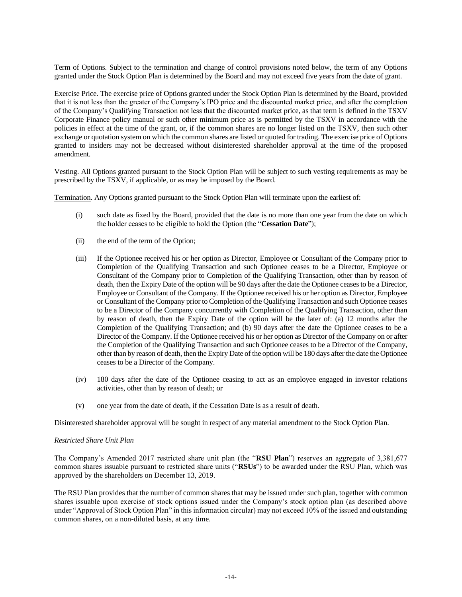Term of Options. Subject to the termination and change of control provisions noted below, the term of any Options granted under the Stock Option Plan is determined by the Board and may not exceed five years from the date of grant.

Exercise Price. The exercise price of Options granted under the Stock Option Plan is determined by the Board, provided that it is not less than the greater of the Company's IPO price and the discounted market price, and after the completion of the Company's Qualifying Transaction not less that the discounted market price, as that term is defined in the TSXV Corporate Finance policy manual or such other minimum price as is permitted by the TSXV in accordance with the policies in effect at the time of the grant, or, if the common shares are no longer listed on the TSXV, then such other exchange or quotation system on which the common shares are listed or quoted for trading. The exercise price of Options granted to insiders may not be decreased without disinterested shareholder approval at the time of the proposed amendment.

Vesting. All Options granted pursuant to the Stock Option Plan will be subject to such vesting requirements as may be prescribed by the TSXV, if applicable, or as may be imposed by the Board.

Termination. Any Options granted pursuant to the Stock Option Plan will terminate upon the earliest of:

- (i) such date as fixed by the Board, provided that the date is no more than one year from the date on which the holder ceases to be eligible to hold the Option (the "**Cessation Date**");
- (ii) the end of the term of the Option;
- (iii) If the Optionee received his or her option as Director, Employee or Consultant of the Company prior to Completion of the Qualifying Transaction and such Optionee ceases to be a Director, Employee or Consultant of the Company prior to Completion of the Qualifying Transaction, other than by reason of death, then the Expiry Date of the option will be 90 days after the date the Optionee ceases to be a Director, Employee or Consultant of the Company. If the Optionee received his or her option as Director, Employee or Consultant of the Company prior to Completion of the Qualifying Transaction and such Optionee ceases to be a Director of the Company concurrently with Completion of the Qualifying Transaction, other than by reason of death, then the Expiry Date of the option will be the later of: (a) 12 months after the Completion of the Qualifying Transaction; and (b) 90 days after the date the Optionee ceases to be a Director of the Company. If the Optionee received his or her option as Director of the Company on or after the Completion of the Qualifying Transaction and such Optionee ceases to be a Director of the Company, other than by reason of death, then the Expiry Date of the option will be 180 days after the date the Optionee ceases to be a Director of the Company.
- (iv) 180 days after the date of the Optionee ceasing to act as an employee engaged in investor relations activities, other than by reason of death; or
- (v) one year from the date of death, if the Cessation Date is as a result of death.

Disinterested shareholder approval will be sought in respect of any material amendment to the Stock Option Plan.

### *Restricted Share Unit Plan*

The Company's Amended 2017 restricted share unit plan (the "**RSU Plan**") reserves an aggregate of 3,381,677 common shares issuable pursuant to restricted share units ("**RSUs**") to be awarded under the RSU Plan, which was approved by the shareholders on December 13, 2019.

The RSU Plan provides that the number of common shares that may be issued under such plan, together with common shares issuable upon exercise of stock options issued under the Company's stock option plan (as described above under "Approval of Stock Option Plan" in this information circular) may not exceed 10% of the issued and outstanding common shares, on a non-diluted basis, at any time.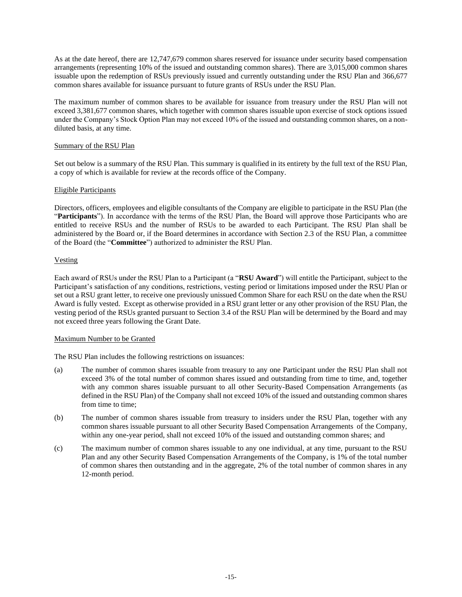As at the date hereof, there are 12,747,679 common shares reserved for issuance under security based compensation arrangements (representing 10% of the issued and outstanding common shares). There are 3,015,000 common shares issuable upon the redemption of RSUs previously issued and currently outstanding under the RSU Plan and 366,677 common shares available for issuance pursuant to future grants of RSUs under the RSU Plan.

The maximum number of common shares to be available for issuance from treasury under the RSU Plan will not exceed 3,381,677 common shares, which together with common shares issuable upon exercise of stock options issued under the Company's Stock Option Plan may not exceed 10% of the issued and outstanding common shares, on a nondiluted basis, at any time.

## Summary of the RSU Plan

Set out below is a summary of the RSU Plan. This summary is qualified in its entirety by the full text of the RSU Plan, a copy of which is available for review at the records office of the Company.

# Eligible Participants

Directors, officers, employees and eligible consultants of the Company are eligible to participate in the RSU Plan (the "**Participants**"). In accordance with the terms of the RSU Plan, the Board will approve those Participants who are entitled to receive RSUs and the number of RSUs to be awarded to each Participant. The RSU Plan shall be administered by the Board or, if the Board determines in accordance with Section 2.3 of the RSU Plan, a committee of the Board (the "**Committee**") authorized to administer the RSU Plan.

# Vesting

Each award of RSUs under the RSU Plan to a Participant (a "**RSU Award**") will entitle the Participant, subject to the Participant's satisfaction of any conditions, restrictions, vesting period or limitations imposed under the RSU Plan or set out a RSU grant letter, to receive one previously unissued Common Share for each RSU on the date when the RSU Award is fully vested. Except as otherwise provided in a RSU grant letter or any other provision of the RSU Plan, the vesting period of the RSUs granted pursuant to Section 3.4 of the RSU Plan will be determined by the Board and may not exceed three years following the Grant Date.

# Maximum Number to be Granted

The RSU Plan includes the following restrictions on issuances:

- (a) The number of common shares issuable from treasury to any one Participant under the RSU Plan shall not exceed 3% of the total number of common shares issued and outstanding from time to time, and, together with any common shares issuable pursuant to all other Security-Based Compensation Arrangements (as defined in the RSU Plan) of the Company shall not exceed 10% of the issued and outstanding common shares from time to time;
- (b) The number of common shares issuable from treasury to insiders under the RSU Plan, together with any common shares issuable pursuant to all other Security Based Compensation Arrangements of the Company, within any one-year period, shall not exceed 10% of the issued and outstanding common shares; and
- (c) The maximum number of common shares issuable to any one individual, at any time, pursuant to the RSU Plan and any other Security Based Compensation Arrangements of the Company, is 1% of the total number of common shares then outstanding and in the aggregate, 2% of the total number of common shares in any 12-month period.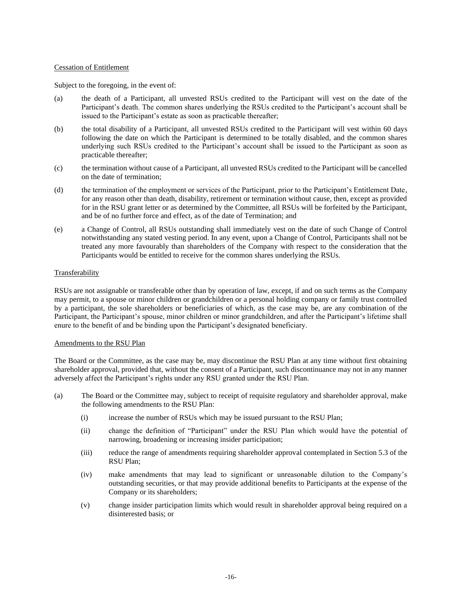### Cessation of Entitlement

Subject to the foregoing, in the event of:

- (a) the death of a Participant, all unvested RSUs credited to the Participant will vest on the date of the Participant's death. The common shares underlying the RSUs credited to the Participant's account shall be issued to the Participant's estate as soon as practicable thereafter;
- (b) the total disability of a Participant, all unvested RSUs credited to the Participant will vest within 60 days following the date on which the Participant is determined to be totally disabled, and the common shares underlying such RSUs credited to the Participant's account shall be issued to the Participant as soon as practicable thereafter;
- (c) the termination without cause of a Participant, all unvested RSUs credited to the Participant will be cancelled on the date of termination;
- (d) the termination of the employment or services of the Participant, prior to the Participant's Entitlement Date, for any reason other than death, disability, retirement or termination without cause, then, except as provided for in the RSU grant letter or as determined by the Committee, all RSUs will be forfeited by the Participant, and be of no further force and effect, as of the date of Termination; and
- (e) a Change of Control, all RSUs outstanding shall immediately vest on the date of such Change of Control notwithstanding any stated vesting period. In any event, upon a Change of Control, Participants shall not be treated any more favourably than shareholders of the Company with respect to the consideration that the Participants would be entitled to receive for the common shares underlying the RSUs.

# Transferability

RSUs are not assignable or transferable other than by operation of law, except, if and on such terms as the Company may permit, to a spouse or minor children or grandchildren or a personal holding company or family trust controlled by a participant, the sole shareholders or beneficiaries of which, as the case may be, are any combination of the Participant, the Participant's spouse, minor children or minor grandchildren, and after the Participant's lifetime shall enure to the benefit of and be binding upon the Participant's designated beneficiary.

### Amendments to the RSU Plan

The Board or the Committee, as the case may be, may discontinue the RSU Plan at any time without first obtaining shareholder approval, provided that, without the consent of a Participant, such discontinuance may not in any manner adversely affect the Participant's rights under any RSU granted under the RSU Plan.

- (a) The Board or the Committee may, subject to receipt of requisite regulatory and shareholder approval, make the following amendments to the RSU Plan:
	- (i) increase the number of RSUs which may be issued pursuant to the RSU Plan;
	- (ii) change the definition of "Participant" under the RSU Plan which would have the potential of narrowing, broadening or increasing insider participation;
	- (iii) reduce the range of amendments requiring shareholder approval contemplated in Section 5.3 of the RSU Plan;
	- (iv) make amendments that may lead to significant or unreasonable dilution to the Company's outstanding securities, or that may provide additional benefits to Participants at the expense of the Company or its shareholders;
	- (v) change insider participation limits which would result in shareholder approval being required on a disinterested basis; or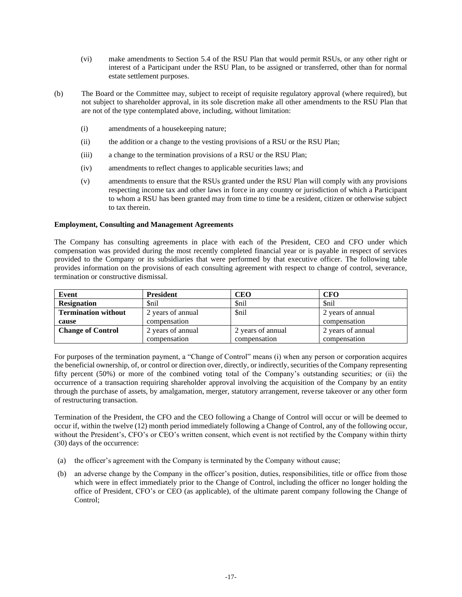- (vi) make amendments to Section 5.4 of the RSU Plan that would permit RSUs, or any other right or interest of a Participant under the RSU Plan, to be assigned or transferred, other than for normal estate settlement purposes.
- (b) The Board or the Committee may, subject to receipt of requisite regulatory approval (where required), but not subject to shareholder approval, in its sole discretion make all other amendments to the RSU Plan that are not of the type contemplated above, including, without limitation:
	- (i) amendments of a housekeeping nature;
	- (ii) the addition or a change to the vesting provisions of a RSU or the RSU Plan;
	- (iii) a change to the termination provisions of a RSU or the RSU Plan;
	- (iv) amendments to reflect changes to applicable securities laws; and
	- (v) amendments to ensure that the RSUs granted under the RSU Plan will comply with any provisions respecting income tax and other laws in force in any country or jurisdiction of which a Participant to whom a RSU has been granted may from time to time be a resident, citizen or otherwise subject to tax therein.

### **Employment, Consulting and Management Agreements**

The Company has consulting agreements in place with each of the President, CEO and CFO under which compensation was provided during the most recently completed financial year or is payable in respect of services provided to the Company or its subsidiaries that were performed by that executive officer. The following table provides information on the provisions of each consulting agreement with respect to change of control, severance, termination or constructive dismissal.

| Event                      | <b>President</b>  | CEO               | CFO               |
|----------------------------|-------------------|-------------------|-------------------|
| <b>Resignation</b>         | <i>Snil</i>       | \$nil             |                   |
| <b>Termination without</b> | 2 years of annual | \$nil             | 2 years of annual |
| cause                      | compensation      |                   | compensation      |
| <b>Change of Control</b>   | 2 years of annual | 2 years of annual | 2 years of annual |
|                            | compensation      | compensation      | compensation      |

For purposes of the termination payment, a "Change of Control" means (i) when any person or corporation acquires the beneficial ownership, of, or control or direction over, directly, or indirectly, securities of the Company representing fifty percent (50%) or more of the combined voting total of the Company's outstanding securities; or (ii) the occurrence of a transaction requiring shareholder approval involving the acquisition of the Company by an entity through the purchase of assets, by amalgamation, merger, statutory arrangement, reverse takeover or any other form of restructuring transaction.

Termination of the President, the CFO and the CEO following a Change of Control will occur or will be deemed to occur if, within the twelve (12) month period immediately following a Change of Control, any of the following occur, without the President's, CFO's or CEO's written consent, which event is not rectified by the Company within thirty (30) days of the occurrence:

- (a) the officer's agreement with the Company is terminated by the Company without cause;
- (b) an adverse change by the Company in the officer's position, duties, responsibilities, title or office from those which were in effect immediately prior to the Change of Control, including the officer no longer holding the office of President, CFO's or CEO (as applicable), of the ultimate parent company following the Change of Control;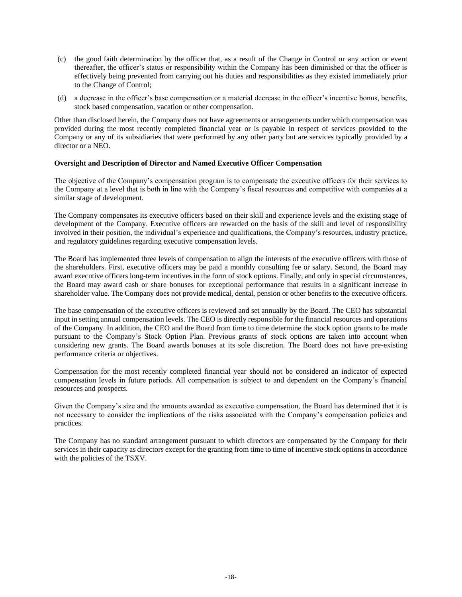- (c) the good faith determination by the officer that, as a result of the Change in Control or any action or event thereafter, the officer's status or responsibility within the Company has been diminished or that the officer is effectively being prevented from carrying out his duties and responsibilities as they existed immediately prior to the Change of Control;
- (d) a decrease in the officer's base compensation or a material decrease in the officer's incentive bonus, benefits, stock based compensation, vacation or other compensation.

Other than disclosed herein, the Company does not have agreements or arrangements under which compensation was provided during the most recently completed financial year or is payable in respect of services provided to the Company or any of its subsidiaries that were performed by any other party but are services typically provided by a director or a NEO.

# **Oversight and Description of Director and Named Executive Officer Compensation**

The objective of the Company's compensation program is to compensate the executive officers for their services to the Company at a level that is both in line with the Company's fiscal resources and competitive with companies at a similar stage of development.

The Company compensates its executive officers based on their skill and experience levels and the existing stage of development of the Company. Executive officers are rewarded on the basis of the skill and level of responsibility involved in their position, the individual's experience and qualifications, the Company's resources, industry practice, and regulatory guidelines regarding executive compensation levels.

The Board has implemented three levels of compensation to align the interests of the executive officers with those of the shareholders. First, executive officers may be paid a monthly consulting fee or salary. Second, the Board may award executive officers long-term incentives in the form of stock options. Finally, and only in special circumstances, the Board may award cash or share bonuses for exceptional performance that results in a significant increase in shareholder value. The Company does not provide medical, dental, pension or other benefits to the executive officers.

The base compensation of the executive officers is reviewed and set annually by the Board. The CEO has substantial input in setting annual compensation levels. The CEO is directly responsible for the financial resources and operations of the Company. In addition, the CEO and the Board from time to time determine the stock option grants to be made pursuant to the Company's Stock Option Plan. Previous grants of stock options are taken into account when considering new grants. The Board awards bonuses at its sole discretion. The Board does not have pre-existing performance criteria or objectives.

Compensation for the most recently completed financial year should not be considered an indicator of expected compensation levels in future periods. All compensation is subject to and dependent on the Company's financial resources and prospects.

Given the Company's size and the amounts awarded as executive compensation, the Board has determined that it is not necessary to consider the implications of the risks associated with the Company's compensation policies and practices.

The Company has no standard arrangement pursuant to which directors are compensated by the Company for their services in their capacity as directors except for the granting from time to time of incentive stock options in accordance with the policies of the TSXV.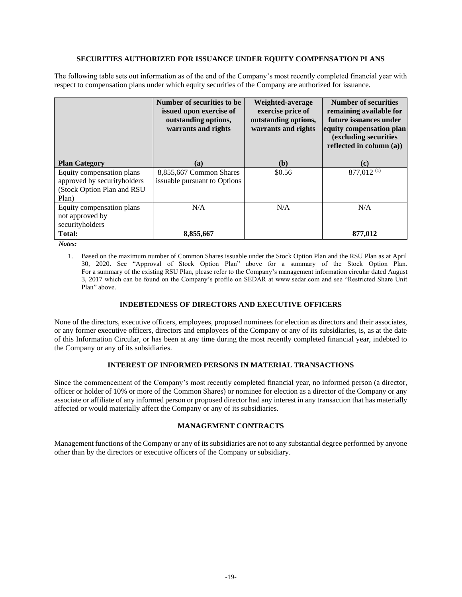### **SECURITIES AUTHORIZED FOR ISSUANCE UNDER EQUITY COMPENSATION PLANS**

The following table sets out information as of the end of the Company's most recently completed financial year with respect to compensation plans under which equity securities of the Company are authorized for issuance.

|                                                                                                 | Number of securities to be<br>issued upon exercise of<br>outstanding options,<br>warrants and rights | Weighted-average<br>exercise price of<br>outstanding options,<br>warrants and rights | Number of securities<br>remaining available for<br>future issuances under<br>equity compensation plan<br>(excluding securities<br>reflected in column $(a)$ ) |  |
|-------------------------------------------------------------------------------------------------|------------------------------------------------------------------------------------------------------|--------------------------------------------------------------------------------------|---------------------------------------------------------------------------------------------------------------------------------------------------------------|--|
| <b>Plan Category</b>                                                                            | (a)                                                                                                  | (b)                                                                                  | (c)                                                                                                                                                           |  |
| Equity compensation plans<br>approved by securityholders<br>(Stock Option Plan and RSU<br>Plan) | 8,855,667 Common Shares<br>is suable pursuant to Options                                             | \$0.56                                                                               | $877,012$ <sup>(1)</sup>                                                                                                                                      |  |
| Equity compensation plans<br>not approved by<br>securityholders                                 | N/A                                                                                                  | N/A                                                                                  | N/A                                                                                                                                                           |  |
| Total:                                                                                          | 8,855,667                                                                                            |                                                                                      | 877,012                                                                                                                                                       |  |

*Notes:*

1. Based on the maximum number of Common Shares issuable under the Stock Option Plan and the RSU Plan as at April 30, 2020. See "Approval of Stock Option Plan" above for a summary of the Stock Option Plan. For a summary of the existing RSU Plan, please refer to the Company's management information circular dated August 3, 2017 which can be found on the Company's profile on SEDAR at www.sedar.com and see "Restricted Share Unit Plan" above.

# **INDEBTEDNESS OF DIRECTORS AND EXECUTIVE OFFICERS**

None of the directors, executive officers, employees, proposed nominees for election as directors and their associates, or any former executive officers, directors and employees of the Company or any of its subsidiaries, is, as at the date of this Information Circular, or has been at any time during the most recently completed financial year, indebted to the Company or any of its subsidiaries.

# **INTEREST OF INFORMED PERSONS IN MATERIAL TRANSACTIONS**

Since the commencement of the Company's most recently completed financial year, no informed person (a director, officer or holder of 10% or more of the Common Shares) or nominee for election as a director of the Company or any associate or affiliate of any informed person or proposed director had any interest in any transaction that has materially affected or would materially affect the Company or any of its subsidiaries.

# **MANAGEMENT CONTRACTS**

Management functions of the Company or any of its subsidiaries are not to any substantial degree performed by anyone other than by the directors or executive officers of the Company or subsidiary.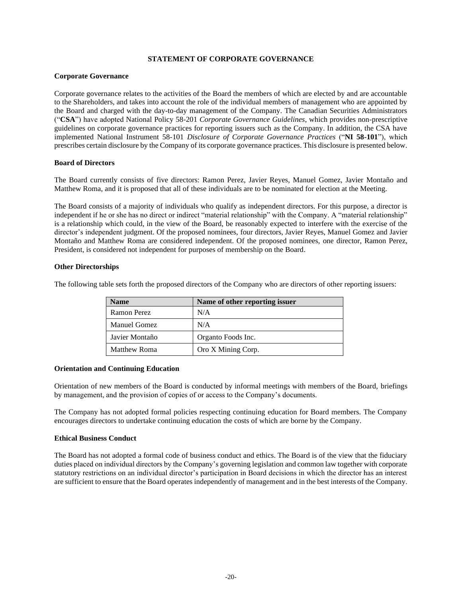# **STATEMENT OF CORPORATE GOVERNANCE**

### **Corporate Governance**

Corporate governance relates to the activities of the Board the members of which are elected by and are accountable to the Shareholders, and takes into account the role of the individual members of management who are appointed by the Board and charged with the day-to-day management of the Company. The Canadian Securities Administrators ("**CSA**") have adopted National Policy 58-201 *Corporate Governance Guidelines*, which provides non-prescriptive guidelines on corporate governance practices for reporting issuers such as the Company. In addition, the CSA have implemented National Instrument 58-101 *Disclosure of Corporate Governance Practices* ("**NI 58-101**"), which prescribes certain disclosure by the Company of its corporate governance practices. This disclosure is presented below.

### **Board of Directors**

The Board currently consists of five directors: Ramon Perez, Javier Reyes, Manuel Gomez, Javier Montaño and Matthew Roma, and it is proposed that all of these individuals are to be nominated for election at the Meeting.

The Board consists of a majority of individuals who qualify as independent directors. For this purpose, a director is independent if he or she has no direct or indirect "material relationship" with the Company. A "material relationship" is a relationship which could, in the view of the Board, be reasonably expected to interfere with the exercise of the director's independent judgment. Of the proposed nominees, four directors, Javier Reyes, Manuel Gomez and Javier Montaño and Matthew Roma are considered independent. Of the proposed nominees, one director, Ramon Perez, President, is considered not independent for purposes of membership on the Board.

### **Other Directorships**

The following table sets forth the proposed directors of the Company who are directors of other reporting issuers:

| <b>Name</b>         | Name of other reporting issuer |
|---------------------|--------------------------------|
| Ramon Perez         | N/A                            |
| <b>Manuel Gomez</b> | N/A                            |
| Javier Montaño      | Organto Foods Inc.             |
| <b>Matthew Roma</b> | Oro X Mining Corp.             |

# **Orientation and Continuing Education**

Orientation of new members of the Board is conducted by informal meetings with members of the Board, briefings by management, and the provision of copies of or access to the Company's documents.

The Company has not adopted formal policies respecting continuing education for Board members. The Company encourages directors to undertake continuing education the costs of which are borne by the Company.

#### **Ethical Business Conduct**

The Board has not adopted a formal code of business conduct and ethics. The Board is of the view that the fiduciary duties placed on individual directors by the Company's governing legislation and common law together with corporate statutory restrictions on an individual director's participation in Board decisions in which the director has an interest are sufficient to ensure that the Board operates independently of management and in the best interests of the Company.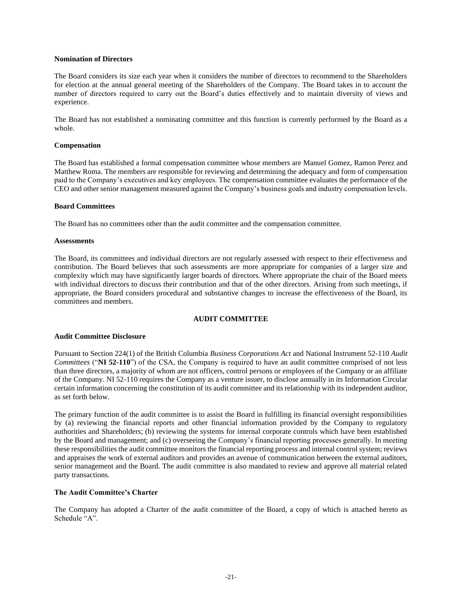#### **Nomination of Directors**

The Board considers its size each year when it considers the number of directors to recommend to the Shareholders for election at the annual general meeting of the Shareholders of the Company. The Board takes in to account the number of directors required to carry out the Board's duties effectively and to maintain diversity of views and experience.

The Board has not established a nominating committee and this function is currently performed by the Board as a whole.

#### **Compensation**

The Board has established a formal compensation committee whose members are Manuel Gomez, Ramon Perez and Matthew Roma. The members are responsible for reviewing and determining the adequacy and form of compensation paid to the Company's executives and key employees. The compensation committee evaluates the performance of the CEO and other senior management measured against the Company's business goals and industry compensation levels.

#### **Board Committees**

The Board has no committees other than the audit committee and the compensation committee.

#### **Assessments**

The Board, its committees and individual directors are not regularly assessed with respect to their effectiveness and contribution. The Board believes that such assessments are more appropriate for companies of a larger size and complexity which may have significantly larger boards of directors. Where appropriate the chair of the Board meets with individual directors to discuss their contribution and that of the other directors. Arising from such meetings, if appropriate, the Board considers procedural and substantive changes to increase the effectiveness of the Board, its committees and members.

# **AUDIT COMMITTEE**

### **Audit Committee Disclosure**

Pursuant to Section 224(1) of the British Columbia *Business Corporations Act* and National Instrument 52-110 *Audit Committees* ("**NI 52-110**") of the CSA, the Company is required to have an audit committee comprised of not less than three directors, a majority of whom are not officers, control persons or employees of the Company or an affiliate of the Company. NI 52-110 requires the Company as a venture issuer, to disclose annually in its Information Circular certain information concerning the constitution of its audit committee and its relationship with its independent auditor, as set forth below.

The primary function of the audit committee is to assist the Board in fulfilling its financial oversight responsibilities by (a) reviewing the financial reports and other financial information provided by the Company to regulatory authorities and Shareholders; (b) reviewing the systems for internal corporate controls which have been established by the Board and management; and (c) overseeing the Company's financial reporting processes generally. In meeting these responsibilities the audit committee monitors the financial reporting process and internal control system; reviews and appraises the work of external auditors and provides an avenue of communication between the external auditors, senior management and the Board. The audit committee is also mandated to review and approve all material related party transactions.

### **The Audit Committee's Charter**

The Company has adopted a Charter of the audit committee of the Board, a copy of which is attached hereto as Schedule  $A$ <sup>".</sup>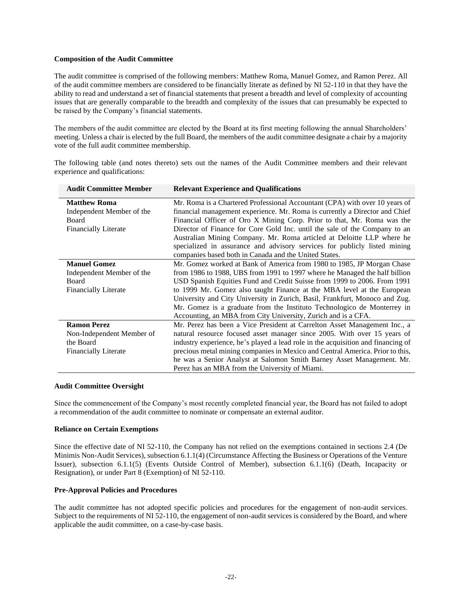### **Composition of the Audit Committee**

The audit committee is comprised of the following members: Matthew Roma, Manuel Gomez, and Ramon Perez. All of the audit committee members are considered to be financially literate as defined by NI 52-110 in that they have the ability to read and understand a set of financial statements that present a breadth and level of complexity of accounting issues that are generally comparable to the breadth and complexity of the issues that can presumably be expected to be raised by the Company's financial statements.

The members of the audit committee are elected by the Board at its first meeting following the annual Shareholders' meeting. Unless a chair is elected by the full Board, the members of the audit committee designate a chair by a majority vote of the full audit committee membership.

The following table (and notes thereto) sets out the names of the Audit Committee members and their relevant experience and qualifications:

| <b>Audit Committee Member</b> | <b>Relevant Experience and Qualifications</b>                                    |
|-------------------------------|----------------------------------------------------------------------------------|
| <b>Matthew Roma</b>           | Mr. Roma is a Chartered Professional Accountant (CPA) with over 10 years of      |
| Independent Member of the     | financial management experience. Mr. Roma is currently a Director and Chief      |
| Board                         | Financial Officer of Oro X Mining Corp. Prior to that, Mr. Roma was the          |
| <b>Financially Literate</b>   | Director of Finance for Core Gold Inc. until the sale of the Company to an       |
|                               | Australian Mining Company. Mr. Roma articled at Deloitte LLP where he            |
|                               | specialized in assurance and advisory services for publicly listed mining        |
|                               | companies based both in Canada and the United States.                            |
| <b>Manuel Gomez</b>           | Mr. Gomez worked at Bank of America from 1980 to 1985, JP Morgan Chase           |
| Independent Member of the     | from 1986 to 1988, UBS from 1991 to 1997 where he Managed the half billion       |
| Board                         | USD Spanish Equities Fund and Credit Suisse from 1999 to 2006. From 1991         |
| <b>Financially Literate</b>   | to 1999 Mr. Gomez also taught Finance at the MBA level at the European           |
|                               | University and City University in Zurich, Basil, Frankfurt, Monoco and Zug.      |
|                               | Mr. Gomez is a graduate from the Instituto Technologico de Monterrey in          |
|                               | Accounting, an MBA from City University, Zurich and is a CFA.                    |
| <b>Ramon Perez</b>            | Mr. Perez has been a Vice President at Carrelton Asset Management Inc., a        |
| Non-Independent Member of     | natural resource focused asset manager since 2005. With over 15 years of         |
| the Board                     | industry experience, he's played a lead role in the acquisition and financing of |
| <b>Financially Literate</b>   | precious metal mining companies in Mexico and Central America. Prior to this,    |
|                               | he was a Senior Analyst at Salomon Smith Barney Asset Management. Mr.            |
|                               | Perez has an MBA from the University of Miami.                                   |

### **Audit Committee Oversight**

Since the commencement of the Company's most recently completed financial year, the Board has not failed to adopt a recommendation of the audit committee to nominate or compensate an external auditor.

# **Reliance on Certain Exemptions**

Since the effective date of NI 52-110, the Company has not relied on the exemptions contained in sections 2.4 (De Minimis Non-Audit Services), subsection 6.1.1(4) (Circumstance Affecting the Business or Operations of the Venture Issuer), subsection 6.1.1(5) (Events Outside Control of Member), subsection 6.1.1(6) (Death, Incapacity or Resignation), or under Part 8 (Exemption) of NI 52-110.

# **Pre-Approval Policies and Procedures**

The audit committee has not adopted specific policies and procedures for the engagement of non-audit services. Subject to the requirements of NI 52-110, the engagement of non-audit services is considered by the Board, and where applicable the audit committee, on a case-by-case basis.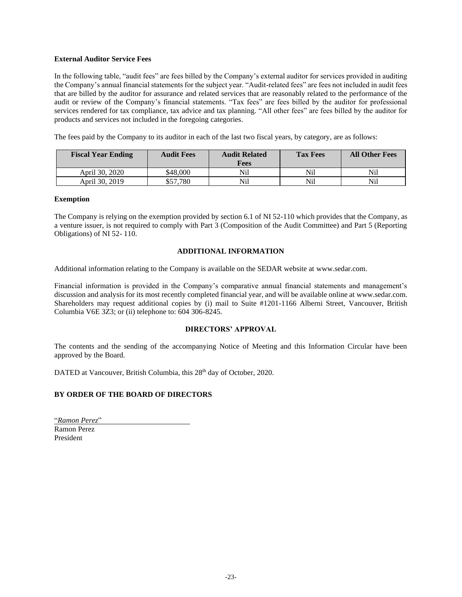# **External Auditor Service Fees**

In the following table, "audit fees" are fees billed by the Company's external auditor for services provided in auditing the Company's annual financial statements for the subject year. "Audit-related fees" are fees not included in audit fees that are billed by the auditor for assurance and related services that are reasonably related to the performance of the audit or review of the Company's financial statements. "Tax fees" are fees billed by the auditor for professional services rendered for tax compliance, tax advice and tax planning. "All other fees" are fees billed by the auditor for products and services not included in the foregoing categories.

The fees paid by the Company to its auditor in each of the last two fiscal years, by category, are as follows:

| <b>Fiscal Year Ending</b> | <b>Audit Fees</b> | <b>Audit Related</b><br>Fees | <b>Tax Fees</b> | <b>All Other Fees</b> |
|---------------------------|-------------------|------------------------------|-----------------|-----------------------|
| April 30, 2020            | \$48,000          | Nil                          | Nil             | Nil                   |
| April 30, 2019            | \$57.780          | Nil                          | Nil             | Nil                   |

### **Exemption**

The Company is relying on the exemption provided by section 6.1 of NI 52-110 which provides that the Company, as a venture issuer, is not required to comply with Part 3 (Composition of the Audit Committee) and Part 5 (Reporting Obligations) of NI 52- 110.

# **ADDITIONAL INFORMATION**

Additional information relating to the Company is available on the SEDAR website at [www.sedar.com.](http://www.sedar.com/)

Financial information is provided in the Company's comparative annual financial statements and management's discussion and analysis for its most recently completed financial year, and will be available online a[t www.sedar.com.](http://www.sedar.com/)  Shareholders may request additional copies by (i) mail to Suite #1201-1166 Alberni Street, Vancouver, British Columbia V6E 3Z3; or (ii) telephone to: 604 306-8245.

# **DIRECTORS' APPROVAL**

The contents and the sending of the accompanying Notice of Meeting and this Information Circular have been approved by the Board.

DATED at Vancouver, British Columbia, this 28<sup>th</sup> day of October, 2020.

# **BY ORDER OF THE BOARD OF DIRECTORS**

"*Ramon Perez*" Ramon Perez President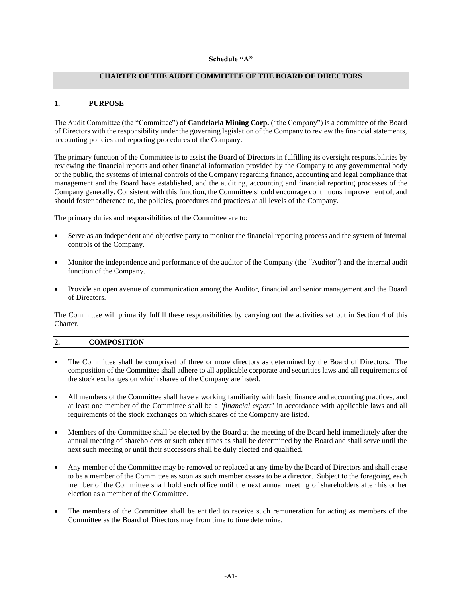### **Schedule "A"**

# **CHARTER OF THE AUDIT COMMITTEE OF THE BOARD OF DIRECTORS**

#### **1. PURPOSE**

The Audit Committee (the "Committee") of **Candelaria Mining Corp.** ("the Company") is a committee of the Board of Directors with the responsibility under the governing legislation of the Company to review the financial statements, accounting policies and reporting procedures of the Company.

The primary function of the Committee is to assist the Board of Directors in fulfilling its oversight responsibilities by reviewing the financial reports and other financial information provided by the Company to any governmental body or the public, the systems of internal controls of the Company regarding finance, accounting and legal compliance that management and the Board have established, and the auditing, accounting and financial reporting processes of the Company generally. Consistent with this function, the Committee should encourage continuous improvement of, and should foster adherence to, the policies, procedures and practices at all levels of the Company.

The primary duties and responsibilities of the Committee are to:

- Serve as an independent and objective party to monitor the financial reporting process and the system of internal controls of the Company.
- Monitor the independence and performance of the auditor of the Company (the "Auditor") and the internal audit function of the Company.
- Provide an open avenue of communication among the Auditor, financial and senior management and the Board of Directors.

The Committee will primarily fulfill these responsibilities by carrying out the activities set out in Section 4 of this Charter.

### **2. COMPOSITION**

- The Committee shall be comprised of three or more directors as determined by the Board of Directors. The composition of the Committee shall adhere to all applicable corporate and securities laws and all requirements of the stock exchanges on which shares of the Company are listed.
- All members of the Committee shall have a working familiarity with basic finance and accounting practices, and at least one member of the Committee shall be a "*financial expert*" in accordance with applicable laws and all requirements of the stock exchanges on which shares of the Company are listed.
- Members of the Committee shall be elected by the Board at the meeting of the Board held immediately after the annual meeting of shareholders or such other times as shall be determined by the Board and shall serve until the next such meeting or until their successors shall be duly elected and qualified.
- Any member of the Committee may be removed or replaced at any time by the Board of Directors and shall cease to be a member of the Committee as soon as such member ceases to be a director. Subject to the foregoing, each member of the Committee shall hold such office until the next annual meeting of shareholders after his or her election as a member of the Committee.
- The members of the Committee shall be entitled to receive such remuneration for acting as members of the Committee as the Board of Directors may from time to time determine.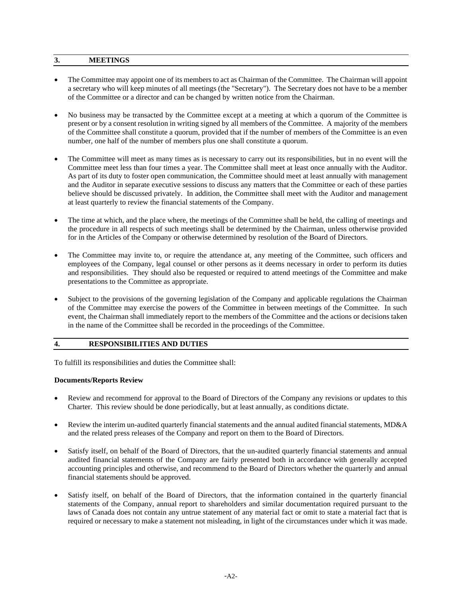# **3. MEETINGS**

- The Committee may appoint one of its members to act as Chairman of the Committee. The Chairman will appoint a secretary who will keep minutes of all meetings (the "Secretary"). The Secretary does not have to be a member of the Committee or a director and can be changed by written notice from the Chairman.
- No business may be transacted by the Committee except at a meeting at which a quorum of the Committee is present or by a consent resolution in writing signed by all members of the Committee. A majority of the members of the Committee shall constitute a quorum, provided that if the number of members of the Committee is an even number, one half of the number of members plus one shall constitute a quorum.
- The Committee will meet as many times as is necessary to carry out its responsibilities, but in no event will the Committee meet less than four times a year. The Committee shall meet at least once annually with the Auditor. As part of its duty to foster open communication, the Committee should meet at least annually with management and the Auditor in separate executive sessions to discuss any matters that the Committee or each of these parties believe should be discussed privately. In addition, the Committee shall meet with the Auditor and management at least quarterly to review the financial statements of the Company.
- The time at which, and the place where, the meetings of the Committee shall be held, the calling of meetings and the procedure in all respects of such meetings shall be determined by the Chairman, unless otherwise provided for in the Articles of the Company or otherwise determined by resolution of the Board of Directors.
- The Committee may invite to, or require the attendance at, any meeting of the Committee, such officers and employees of the Company, legal counsel or other persons as it deems necessary in order to perform its duties and responsibilities. They should also be requested or required to attend meetings of the Committee and make presentations to the Committee as appropriate.
- Subject to the provisions of the governing legislation of the Company and applicable regulations the Chairman of the Committee may exercise the powers of the Committee in between meetings of the Committee. In such event, the Chairman shall immediately report to the members of the Committee and the actions or decisions taken in the name of the Committee shall be recorded in the proceedings of the Committee.

# **4. RESPONSIBILITIES AND DUTIES**

To fulfill its responsibilities and duties the Committee shall:

# **Documents/Reports Review**

- Review and recommend for approval to the Board of Directors of the Company any revisions or updates to this Charter. This review should be done periodically, but at least annually, as conditions dictate.
- Review the interim un-audited quarterly financial statements and the annual audited financial statements, MD&A and the related press releases of the Company and report on them to the Board of Directors.
- Satisfy itself, on behalf of the Board of Directors, that the un-audited quarterly financial statements and annual audited financial statements of the Company are fairly presented both in accordance with generally accepted accounting principles and otherwise, and recommend to the Board of Directors whether the quarterly and annual financial statements should be approved.
- Satisfy itself, on behalf of the Board of Directors, that the information contained in the quarterly financial statements of the Company, annual report to shareholders and similar documentation required pursuant to the laws of Canada does not contain any untrue statement of any material fact or omit to state a material fact that is required or necessary to make a statement not misleading, in light of the circumstances under which it was made.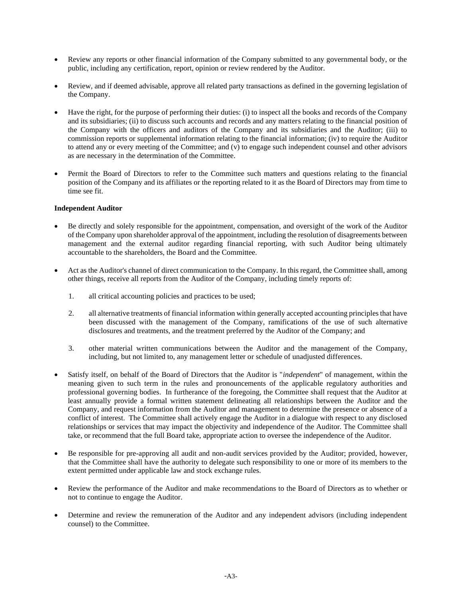- Review any reports or other financial information of the Company submitted to any governmental body, or the public, including any certification, report, opinion or review rendered by the Auditor.
- Review, and if deemed advisable, approve all related party transactions as defined in the governing legislation of the Company.
- Have the right, for the purpose of performing their duties: (i) to inspect all the books and records of the Company and its subsidiaries; (ii) to discuss such accounts and records and any matters relating to the financial position of the Company with the officers and auditors of the Company and its subsidiaries and the Auditor; (iii) to commission reports or supplemental information relating to the financial information; (iv) to require the Auditor to attend any or every meeting of the Committee; and (v) to engage such independent counsel and other advisors as are necessary in the determination of the Committee.
- Permit the Board of Directors to refer to the Committee such matters and questions relating to the financial position of the Company and its affiliates or the reporting related to it as the Board of Directors may from time to time see fit.

# **Independent Auditor**

- Be directly and solely responsible for the appointment, compensation, and oversight of the work of the Auditor of the Company upon shareholder approval of the appointment, including the resolution of disagreements between management and the external auditor regarding financial reporting, with such Auditor being ultimately accountable to the shareholders, the Board and the Committee.
- Act as the Auditor's channel of direct communication to the Company. In this regard, the Committee shall, among other things, receive all reports from the Auditor of the Company, including timely reports of:
	- 1. all critical accounting policies and practices to be used;
	- 2. all alternative treatments of financial information within generally accepted accounting principles that have been discussed with the management of the Company, ramifications of the use of such alternative disclosures and treatments, and the treatment preferred by the Auditor of the Company; and
	- 3. other material written communications between the Auditor and the management of the Company, including, but not limited to, any management letter or schedule of unadjusted differences.
- Satisfy itself, on behalf of the Board of Directors that the Auditor is "*independent*" of management, within the meaning given to such term in the rules and pronouncements of the applicable regulatory authorities and professional governing bodies. In furtherance of the foregoing, the Committee shall request that the Auditor at least annually provide a formal written statement delineating all relationships between the Auditor and the Company, and request information from the Auditor and management to determine the presence or absence of a conflict of interest. The Committee shall actively engage the Auditor in a dialogue with respect to any disclosed relationships or services that may impact the objectivity and independence of the Auditor. The Committee shall take, or recommend that the full Board take, appropriate action to oversee the independence of the Auditor.
- Be responsible for pre-approving all audit and non-audit services provided by the Auditor; provided, however, that the Committee shall have the authority to delegate such responsibility to one or more of its members to the extent permitted under applicable law and stock exchange rules.
- Review the performance of the Auditor and make recommendations to the Board of Directors as to whether or not to continue to engage the Auditor.
- Determine and review the remuneration of the Auditor and any independent advisors (including independent counsel) to the Committee.